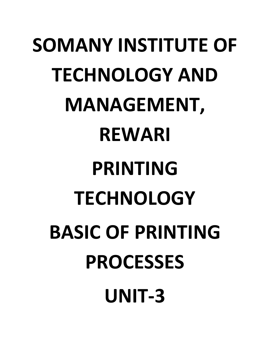# **SOMANY INSTITUTE OF TECHNOLOGY AND MANAGEMENT, REWARI PRINTING TECHNOLOGY BASIC OF PRINTING PROCESSES UNIT-3**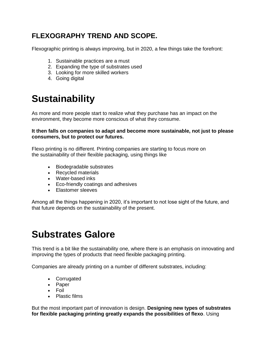## **FLEXOGRAPHY TREND AND SCOPE.**

Flexographic printing is always improving, but in 2020, a few things take the forefront:

- 1. Sustainable practices are a must
- 2. Expanding the type of substrates used
- 3. Looking for more skilled workers
- 4. Going digital

# **Sustainability**

As more and more people start to realize what they purchase has an impact on the environment, they become more conscious of what they consume.

**It then falls on companies to adapt and become more sustainable, not just to please consumers, but to protect our futures.**

Flexo printing is no different. Printing companies are starting to focus more on the [sustainability of their flexible packaging,](https://blog.luminite.com/blog/sustainable-packaging-design-guide-for-newcomers) using things like

- Biodegradable substrates
- Recycled materials
- [Water-based inks](https://blog.luminite.com/blog/oil-based-vs-water-based-flexo-inks-optimize-your-materials)
- Eco-friendly coatings and adhesives
- [Elastomer sleeves](https://app.hubspot.com/content-detail/2696550/blog-post/7475210003/performance?__hstc=181822776.269f26ee4130d5b7cc62e80263b56c33.1613988355769.1613988355769.1613988355769.1&__hssc=181822776.1.1613988355770&__hsfp=1940975785)

Among all the things happening in 2020, it's important to not lose sight of the future, and that future depends on the sustainability of the present.

# **Substrates Galore**

This trend is a bit like the sustainability one, where there is an emphasis on innovating and improving the types of products that need flexible packaging printing.

Companies are already printing on a number of different substrates, including:

- [Corrugated](https://blog.luminite.com/blog/corrugated-packaging-printing-flexo)
- Paper
- Foil
- Plastic films

But the most important part of innovation is design. **Designing new types of substrates for flexible packaging printing greatly expands the possibilities of flexo**. Using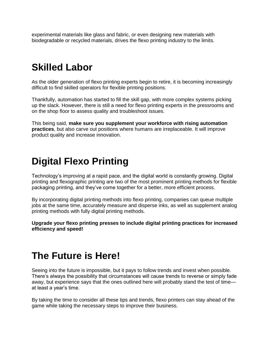experimental materials like glass and fabric, or even designing new materials with biodegradable or recycled materials, drives the flexo printing industry to the limits.

# **Skilled Labor**

As the older generation of flexo printing experts begin to retire, it is becoming increasingly difficult to find skilled operators for flexible printing positions.

Thankfully, automation has started to fill the skill gap, with more complex systems picking up the slack. However, there is still a need for flexo printing experts in the pressrooms and on the shop floor to assess quality and troubleshoot issues.

This being said, **make sure you supplement your workforce with rising automation practices**, but also carve out positions where humans are irreplaceable. It will improve product quality and increase innovation.

# **Digital Flexo Printing**

Technology's improving at a rapid pace, and the digital world is constantly growing. Digital printing and flexographic printing are two of the most prominent printing methods for flexible packaging printing, and they've come together for a better, [more efficient process.](https://blog.luminite.com/blog/digital-flexo-printing-what-components-do-you-need)

By incorporating digital printing methods into flexo printing, companies can queue multiple jobs at the same time, accurately measure and disperse inks, as well as supplement analog printing methods with fully digital printing methods.

**Upgrade your flexo printing presses to include digital printing practices for increased efficiency and speed!**

## **The Future is Here!**

Seeing into the future is impossible, but it pays to follow trends and invest when possible. There's always the possibility that circumstances will cause trends to reverse or simply fade away, but experience says that the ones outlined here will probably stand the test of time at least a year's time.

By taking the time to consider all these tips and trends, flexo printers can stay ahead of the game while taking the necessary steps to improve their business.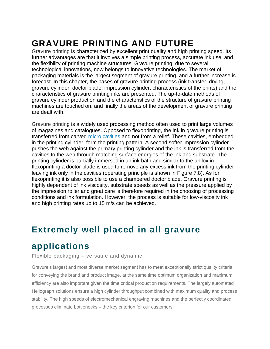# **GRAVURE PRINTING AND FUTURE**

Gravure printing is characterized by excellent print quality and high printing speed. Its further advantages are that it involves a simple printing process, accurate ink use, and the flexibility of printing machine structures. Gravure printing, due to several technological innovations, now belongs to innovative technologies. The market of packaging materials is the largest segment of gravure printing, and a further increase is forecast. In this chapter, the bases of gravure printing process (ink transfer, drying, gravure cylinder, doctor blade, impression cylinder, characteristics of the prints) and the characteristics of gravure printing inks are presented. The up-to-date methods of gravure cylinder production and the characteristics of the structure of gravure printing machines are touched on, and finally the areas of the development of gravure printing are dealt with.

Gravure printing is a widely used processing method often used to print large volumes of magazines and catalogues. Opposed to flexoprinting, the ink in gravure printing is transferred from carved [micro cavities](https://www.sciencedirect.com/topics/engineering/micro-cavity) and not from a relief. These cavities, embedded in the printing cylinder, form the printing pattern. A second softer impression cylinder pushes the web against the primary printing cylinder and the ink is transferred from the cavities to the web through matching surface energies of the ink and substrate. The printing cylinder is partially immersed in an ink bath and similar to the anilox in flexoprinting a doctor blade is used to remove any excess ink from the printing cylinder leaving ink only in the cavities (operating principle is shown in Figure 7.8). As for flexoprinting it is also possible to use a chambered doctor blade. Gravure printing is highly dependent of ink viscosity, substrate speeds as well as the pressure applied by the impression roller and great care is therefore required in the choosing of processing conditions and ink formulation. However, the process is suitable for low-viscosity ink and high printing rates up to 15 m/s can be achieved.

## **Extremely well placed in all gravure**

## **applications**

Flexible packaging – versatile and dynamic

Gravure's largest and most diverse market segment has to meet exceptionally strict quality criteria for conveying the brand and product image, at the same time optimum organization and maximum efficiency are also important given the time critical production requirements. The largely automated Heliograph solutions ensure a high cylinder throughput combined with maximum quality and process stability. The high speeds of electromechanical engraving machines and the perfectly coordinated processes eliminate bottlenecks – the key criterion for our customers!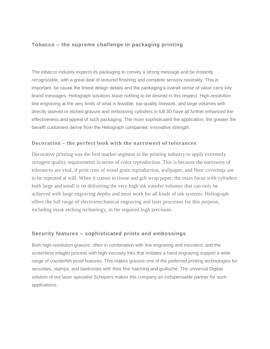#### **Tobacco – the supreme challenge in packaging printing**

The tobacco industry expects its packaging to convey a strong message and be instantly recognizable, with a great deal of textured finishing and complete sensory neutrality. This is important, be cause the tiniest design details and the packaging's overall sense of value carry key brand messages. Heliograph solutions leave nothing to be desired in this respect. High-resolution line engraving at the very limits of what is feasible, top-quality linework, and large volumes with directly lasered or etched gravure and embossing cylinders in full 3D have all further enhanced the effectiveness and appeal of such packaging. The more sophisticated the application, the greater the benefit customers derive from the Heliograph companies' innovative strength.

#### **Decoration – the perfect look with the narrowest of tolerances**

Decorative printing was the first market segment in the printing industry to apply extremely stringent quality requirements in terms of color reproduction. This is because the narrowest of tolerances are vital, if print runs of wood grain reproduction, wallpaper, and floor coverings are to be repeated at will. When it comes to tissue and gift wrap paper, the main focus with cylinders both large and small is on delivering the very high ink transfer volumes that can only be achieved with large engraving depths and must work for all kinds of ink systems. Heliograph offers the full range of electromechanical engraving and laser processes for this purpose, including mask etching technology, in the required high precision.

#### **Security features – sophisticated prints and embossings**

Both high-resolution gravure, often in combination with line engraving and microtext, and the screenless intaglio process with high-viscosity inks that imitates a hand engraving support a wide range of counterfeit-proof features. This makes gravure one of the preferred printing technologies for securities, stamps, and banknotes with their fine hatching and guilloché. The universal Digilas solution of our laser specialist Schepers makes this company an indispensable partner for such applications.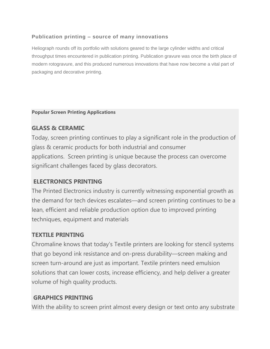## **Publication printing – source of many innovations**

Heliograph rounds off its portfolio with solutions geared to the large cylinder widths and critical throughput times encountered in publication printing. Publication gravure was once the birth place of modern rotogravure, and this produced numerous innovations that have now become a vital part of packaging and decorative printing.

#### **Popular Screen Printing Applications**

## **GLASS & CERAMIC**

Today, screen printing continues to play a significant role in the production of glass & ceramic products for both industrial and consumer applications. Screen printing is unique because the process can overcome significant challenges faced by glass decorators.

## **ELECTRONICS PRINTING**

The Printed Electronics industry is currently witnessing exponential growth as the demand for tech devices escalates—and screen printing continues to be a lean, efficient and reliable production option due to improved printing techniques, equipment and materials

## **TEXTILE PRINTING**

Chromaline knows that today's Textile printers are looking for stencil systems that go beyond ink resistance and on-press durability—screen making and screen turn-around are just as important. Textile printers need emulsion solutions that can lower costs, increase efficiency, and help deliver a greater volume of high quality products.

## **GRAPHICS PRINTING**

With the ability to screen print almost every design or text onto any substrate